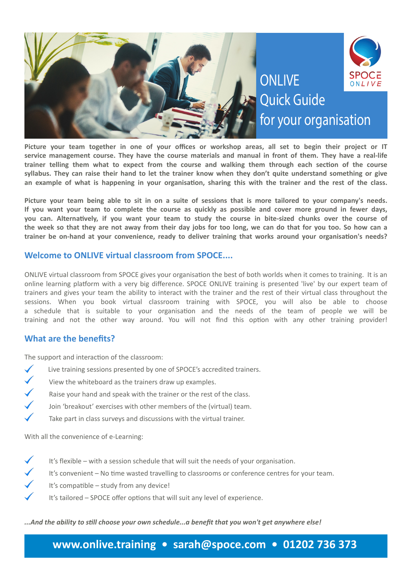

**Picture your team together in one of your offices or workshop areas, all set to begin their project or IT service management course. They have the course materials and manual in front of them. They have a real-life trainer telling them what to expect from the course and walking them through each section of the course syllabus. They can raise their hand to let the trainer know when they don't quite understand something or give an example of what is happening in your organisation, sharing this with the trainer and the rest of the class.** 

**Picture your team being able to sit in on a suite of sessions that is more tailored to your company's needs. If you want your team to complete the course as quickly as possible and cover more ground in fewer days, you can. Alternatively, if you want your team to study the course in bite-sized chunks over the course of the week so that they are not away from their day jobs for too long, we can do that for you too. So how can a trainer be on-hand at your convenience, ready to deliver training that works around your organisation's needs?**

### **Welcome to ONLIVE virtual classroom from SPOCE....**

ONLIVE virtual classroom from SPOCE gives your organisation the best of both worlds when it comes to training. It is an online learning platform with a very big difference. SPOCE ONLIVE training is presented 'live' by our expert team of trainers and gives your team the ability to interact with the trainer and the rest of their virtual class throughout the sessions. When you book virtual classroom training with SPOCE, you will also be able to choose a schedule that is suitable to your organisation and the needs of the team of people we will be training and not the other way around. You will not find this option with any other training provider!

## **What are the benefits?**

The support and interaction of the classroom:

- Live training sessions presented by one of SPOCE's accredited trainers.
- $\checkmark$ View the whiteboard as the trainers draw up examples.
- $\checkmark$ Raise your hand and speak with the trainer or the rest of the class.
- Join 'breakout' exercises with other members of the (virtual) team.
- Take part in class surveys and discussions with the virtual trainer.

With all the convenience of e-Learning:

- It's flexible with a session schedule that will suit the needs of your organisation.
	- It's convenient No time wasted travelling to classrooms or conference centres for your team.
- It's compatible study from any device!
- It's tailored SPOCE offer options that will suit any level of experience.

*...And the ability to still choose your own schedule...a benefit that you won't get anywhere else!*

# **www.onlive.training • sarah@spoce.com • 01202 736 373**